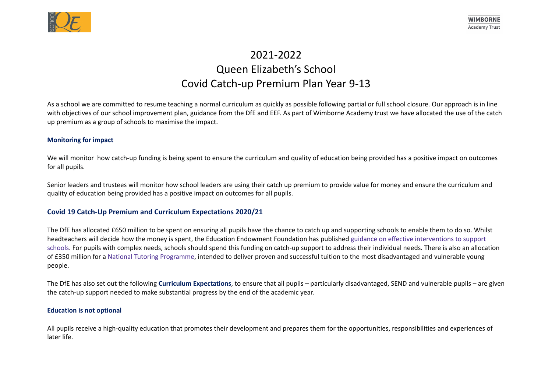

# 2021-2022 Queen Elizabeth's School Covid Catch-up Premium Plan Year 9-13

As a school we are committed to resume teaching a normal curriculum as quickly as possible following partial or full school closure. Our approach is in line with objectives of our school improvement plan, guidance from the DfE and EEF. As part of Wimborne Academy trust we have allocated the use of the catch up premium as a group of schools to maximise the impact.

### **Monitoring for impact**

We will monitor how catch-up funding is being spent to ensure the curriculum and quality of education being provided has a positive impact on outcomes for all pupils.

Senior leaders and trustees will monitor how school leaders are using their catch up premium to provide value for money and ensure the curriculum and quality of education being provided has a positive impact on outcomes for all pupils.

## **Covid 19 Catch-Up Premium and Curriculum Expectations 2020/21**

The DfE has allocated £650 million to be spent on ensuring all pupils have the chance to catch up and supporting schools to enable them to do so. Whilst headteachers will decide how the money is spent, the Education Endowment Foundation has published guidance on effective interventions to support schools. For pupils with complex needs, schools should spend this funding on catch-up support to address their individual needs. There is also an allocation of £350 million for a National Tutoring Programme, intended to deliver proven and successful tuition to the most disadvantaged and vulnerable young people.

The DfE has also set out the following **Curriculum Expectations**, to ensure that all pupils – particularly disadvantaged, SEND and vulnerable pupils – are given the catch-up support needed to make substantial progress by the end of the academic year.

#### **Education is not optional**

All pupils receive a high-quality education that promotes their development and prepares them for the opportunities, responsibilities and experiences of later life.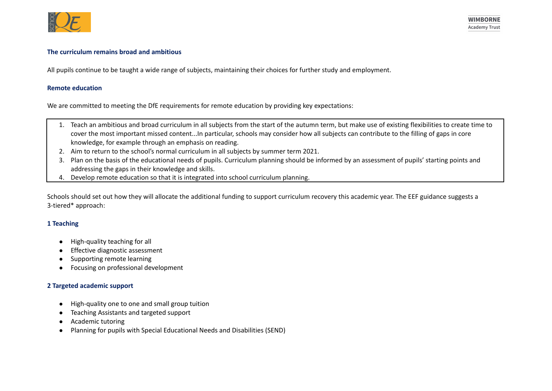

#### **The curriculum remains broad and ambitious**

All pupils continue to be taught a wide range of subjects, maintaining their choices for further study and employment.

#### **Remote education**

We are committed to meeting the DfE requirements for remote education by providing key expectations:

- 1. Teach an ambitious and broad curriculum in all subjects from the start of the autumn term, but make use of existing flexibilities to create time to cover the most important missed content...In particular, schools may consider how all subjects can contribute to the filling of gaps in core knowledge, for example through an emphasis on reading.
- 2. Aim to return to the school's normal curriculum in all subjects by summer term 2021.
- 3. Plan on the basis of the educational needs of pupils. Curriculum planning should be informed by an assessment of pupils' starting points and addressing the gaps in their knowledge and skills.
- 4. Develop remote education so that it is integrated into school curriculum planning.

Schools should set out how they will allocate the additional funding to support curriculum recovery this academic year. The EEF guidance suggests a 3-tiered\* approach:

## **1 Teaching**

- High-quality teaching for all
- Effective diagnostic assessment
- Supporting remote learning
- Focusing on professional development

#### **2 Targeted academic support**

- High-quality one to one and small group tuition
- Teaching Assistants and targeted support
- Academic tutoring
- Planning for pupils with Special Educational Needs and Disabilities (SEND)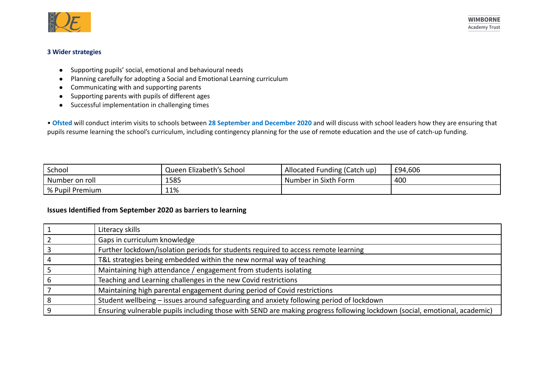

## **3 Wider strategies**

- Supporting pupils' social, emotional and behavioural needs
- Planning carefully for adopting a Social and Emotional Learning curriculum
- Communicating with and supporting parents
- Supporting parents with pupils of different ages
- Successful implementation in challenging times

• **Ofsted** will conduct interim visits to schools between **28 September and December 2020** and will discuss with school leaders how they are ensuring that pupils resume learning the school's curriculum, including contingency planning for the use of remote education and the use of catch-up funding.

| School                       | Queen Elizabeth's School | Allocated Funding (Catch up) | £94,606 |
|------------------------------|--------------------------|------------------------------|---------|
| Number on roll               | 1585                     | Number in Sixth Form         | 400     |
| <sup>'</sup> % Pupil Premium | 11%                      |                              |         |

## **Issues Identified from September 2020 as barriers to learning**

| Literacy skills                                                                                                           |
|---------------------------------------------------------------------------------------------------------------------------|
| Gaps in curriculum knowledge                                                                                              |
| Further lockdown/isolation periods for students required to access remote learning                                        |
| T&L strategies being embedded within the new normal way of teaching                                                       |
| Maintaining high attendance / engagement from students isolating                                                          |
| Teaching and Learning challenges in the new Covid restrictions                                                            |
| Maintaining high parental engagement during period of Covid restrictions                                                  |
| Student wellbeing - issues around safeguarding and anxiety following period of lockdown                                   |
| Ensuring vulnerable pupils including those with SEND are making progress following lockdown (social, emotional, academic) |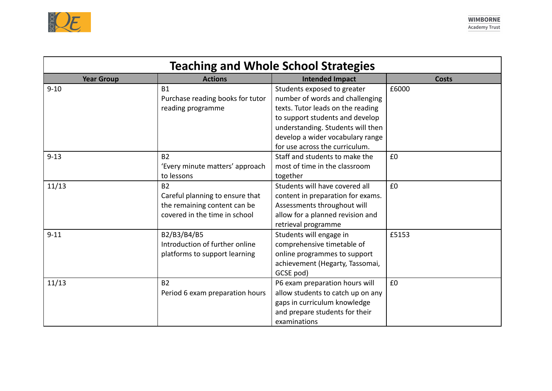

| <b>Teaching and Whole School Strategies</b> |                                  |                                   |              |
|---------------------------------------------|----------------------------------|-----------------------------------|--------------|
| <b>Year Group</b>                           | <b>Actions</b>                   | <b>Intended Impact</b>            | <b>Costs</b> |
| $9 - 10$                                    | <b>B1</b>                        | Students exposed to greater       | £6000        |
|                                             | Purchase reading books for tutor | number of words and challenging   |              |
|                                             | reading programme                | texts. Tutor leads on the reading |              |
|                                             |                                  | to support students and develop   |              |
|                                             |                                  | understanding. Students will then |              |
|                                             |                                  | develop a wider vocabulary range  |              |
|                                             |                                  | for use across the curriculum.    |              |
| $9 - 13$                                    | <b>B2</b>                        | Staff and students to make the    | £0           |
|                                             | 'Every minute matters' approach  | most of time in the classroom     |              |
|                                             | to lessons                       | together                          |              |
| 11/13                                       | <b>B2</b>                        | Students will have covered all    | £0           |
|                                             | Careful planning to ensure that  | content in preparation for exams. |              |
|                                             | the remaining content can be     | Assessments throughout will       |              |
|                                             | covered in the time in school    | allow for a planned revision and  |              |
|                                             |                                  | retrieval programme               |              |
| $9 - 11$                                    | B2/B3/B4/B5                      | Students will engage in           | £5153        |
|                                             | Introduction of further online   | comprehensive timetable of        |              |
|                                             | platforms to support learning    | online programmes to support      |              |
|                                             |                                  | achievement (Hegarty, Tassomai,   |              |
|                                             |                                  | GCSE pod)                         |              |
| 11/13                                       | <b>B2</b>                        | P6 exam preparation hours will    | £0           |
|                                             | Period 6 exam preparation hours  | allow students to catch up on any |              |
|                                             |                                  | gaps in curriculum knowledge      |              |
|                                             |                                  | and prepare students for their    |              |
|                                             |                                  | examinations                      |              |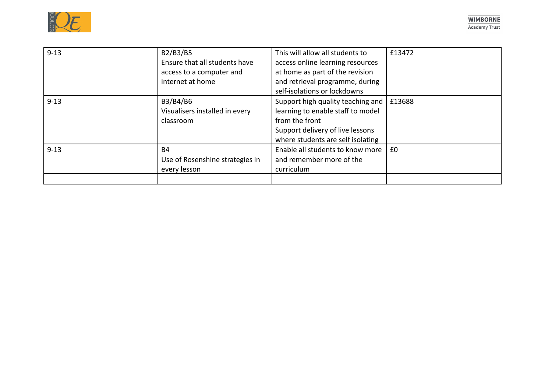| $9 - 13$ | B2/B3/B5<br>Ensure that all students have<br>access to a computer and<br>internet at home | This will allow all students to<br>access online learning resources<br>at home as part of the revision<br>and retrieval programme, during<br>self-isolations or lockdowns | £13472 |
|----------|-------------------------------------------------------------------------------------------|---------------------------------------------------------------------------------------------------------------------------------------------------------------------------|--------|
| $9 - 13$ | B3/B4/B6<br>Visualisers installed in every<br>classroom                                   | Support high quality teaching and<br>learning to enable staff to model<br>from the front<br>Support delivery of live lessons<br>where students are self isolating         | £13688 |
| $9 - 13$ | B4<br>Use of Rosenshine strategies in<br>every lesson                                     | Enable all students to know more<br>and remember more of the<br>curriculum                                                                                                | £0     |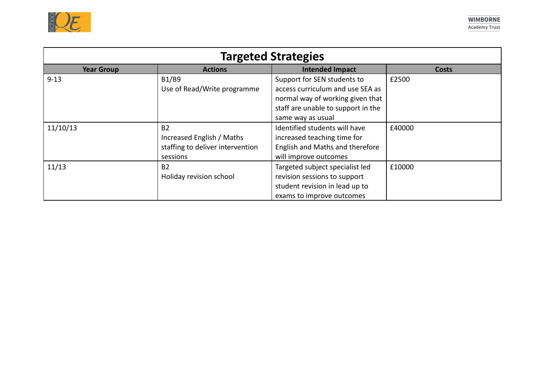

| <b>Targeted Strategies</b> |                                                                                        |                                                                                                                                                                |              |
|----------------------------|----------------------------------------------------------------------------------------|----------------------------------------------------------------------------------------------------------------------------------------------------------------|--------------|
| <b>Year Group</b>          | <b>Actions</b>                                                                         | <b>Intended Impact</b>                                                                                                                                         | <b>Costs</b> |
| $9 - 13$                   | B1/B9<br>Use of Read/Write programme                                                   | Support for SEN students to<br>access curriculum and use SEA as<br>normal way of working given that<br>staff are unable to support in the<br>same way as usual | £2500        |
| 11/10/13                   | <b>B2</b><br>Increased English / Maths<br>staffing to deliver intervention<br>sessions | Identified students will have<br>increased teaching time for<br>English and Maths and therefore<br>will improve outcomes                                       | £40000       |
| 11/13                      | <b>B2</b><br>Holiday revision school                                                   | Targeted subject specialist led<br>revision sessions to support<br>student revision in lead up to<br>exams to improve outcomes                                 | £10000       |